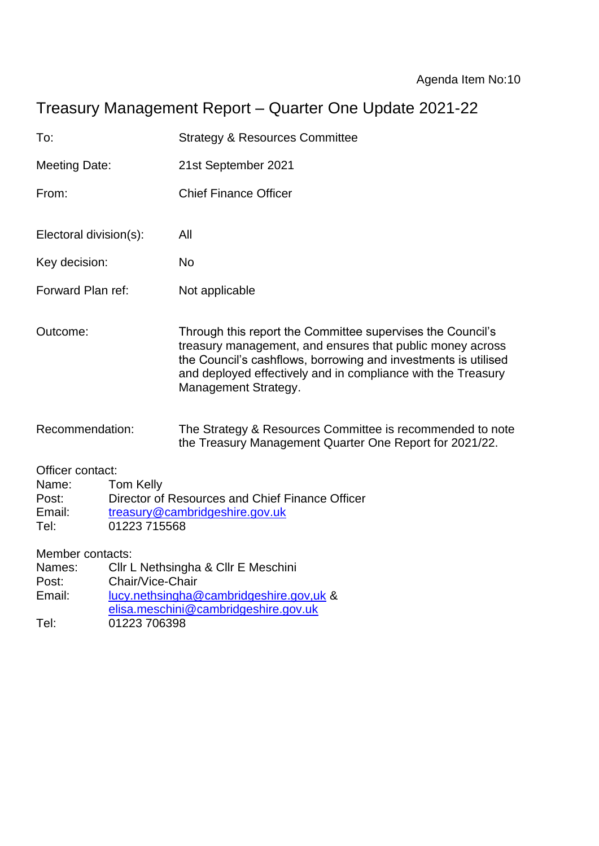# Treasury Management Report – Quarter One Update 2021-22

| To:                                                                                       |  | <b>Strategy &amp; Resources Committee</b>                                                                                                                                                                                                                                         |  |  |
|-------------------------------------------------------------------------------------------|--|-----------------------------------------------------------------------------------------------------------------------------------------------------------------------------------------------------------------------------------------------------------------------------------|--|--|
| <b>Meeting Date:</b>                                                                      |  | 21st September 2021                                                                                                                                                                                                                                                               |  |  |
| From:                                                                                     |  | <b>Chief Finance Officer</b>                                                                                                                                                                                                                                                      |  |  |
| Electoral division(s):                                                                    |  | All                                                                                                                                                                                                                                                                               |  |  |
| Key decision:                                                                             |  | <b>No</b>                                                                                                                                                                                                                                                                         |  |  |
| Forward Plan ref:                                                                         |  | Not applicable                                                                                                                                                                                                                                                                    |  |  |
| Outcome:                                                                                  |  | Through this report the Committee supervises the Council's<br>treasury management, and ensures that public money across<br>the Council's cashflows, borrowing and investments is utilised<br>and deployed effectively and in compliance with the Treasury<br>Management Strategy. |  |  |
| Recommendation:                                                                           |  | The Strategy & Resources Committee is recommended to note<br>the Treasury Management Quarter One Report for 2021/22.                                                                                                                                                              |  |  |
| Officer contact:<br><b>Tom Kelly</b><br>Name:<br>Post:<br>Email:<br>01223 715568<br>Tel:  |  | Director of Resources and Chief Finance Officer<br>treasury@cambridgeshire.gov.uk                                                                                                                                                                                                 |  |  |
| Member contacts:<br>Names:<br>Chair/Vice-Chair<br>Post:<br>Email:<br>Tel:<br>01223 706398 |  | Cllr L Nethsingha & Cllr E Meschini<br>lucy.nethsingha@cambridgeshire.gov,uk &<br>elisa.meschini@cambridgeshire.gov.uk                                                                                                                                                            |  |  |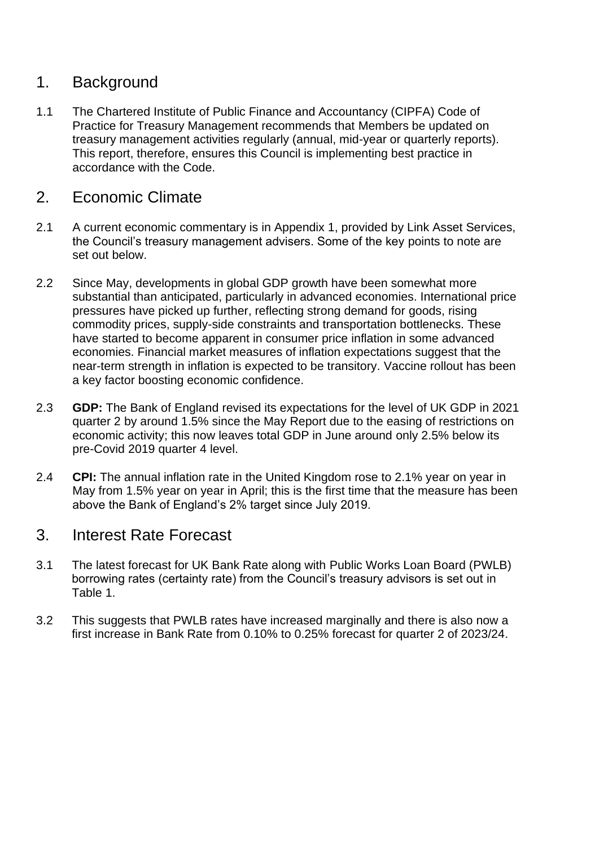#### 1. Background

1.1 The Chartered Institute of Public Finance and Accountancy (CIPFA) Code of Practice for Treasury Management recommends that Members be updated on treasury management activities regularly (annual, mid-year or quarterly reports). This report, therefore, ensures this Council is implementing best practice in accordance with the Code.

#### 2. Economic Climate

- 2.1 A current economic commentary is in Appendix 1, provided by Link Asset Services, the Council's treasury management advisers. Some of the key points to note are set out below.
- 2.2 Since May, developments in global GDP growth have been somewhat more substantial than anticipated, particularly in advanced economies. International price pressures have picked up further, reflecting strong demand for goods, rising commodity prices, supply-side constraints and transportation bottlenecks. These have started to become apparent in consumer price inflation in some advanced economies. Financial market measures of inflation expectations suggest that the near-term strength in inflation is expected to be transitory. Vaccine rollout has been a key factor boosting economic confidence.
- 2.3 **GDP:** The Bank of England revised its expectations for the level of UK GDP in 2021 quarter 2 by around 1.5% since the May Report due to the easing of restrictions on economic activity; this now leaves total GDP in June around only 2.5% below its pre-Covid 2019 quarter 4 level.
- 2.4 **CPI:** The annual inflation rate in the United Kingdom rose to 2.1% year on year in May from 1.5% year on year in April; this is the first time that the measure has been above the Bank of England's 2% target since July 2019.

#### 3. Interest Rate Forecast

- 3.1 The latest forecast for UK Bank Rate along with Public Works Loan Board (PWLB) borrowing rates (certainty rate) from the Council's treasury advisors is set out in Table 1.
- 3.2 This suggests that PWLB rates have increased marginally and there is also now a first increase in Bank Rate from 0.10% to 0.25% forecast for quarter 2 of 2023/24.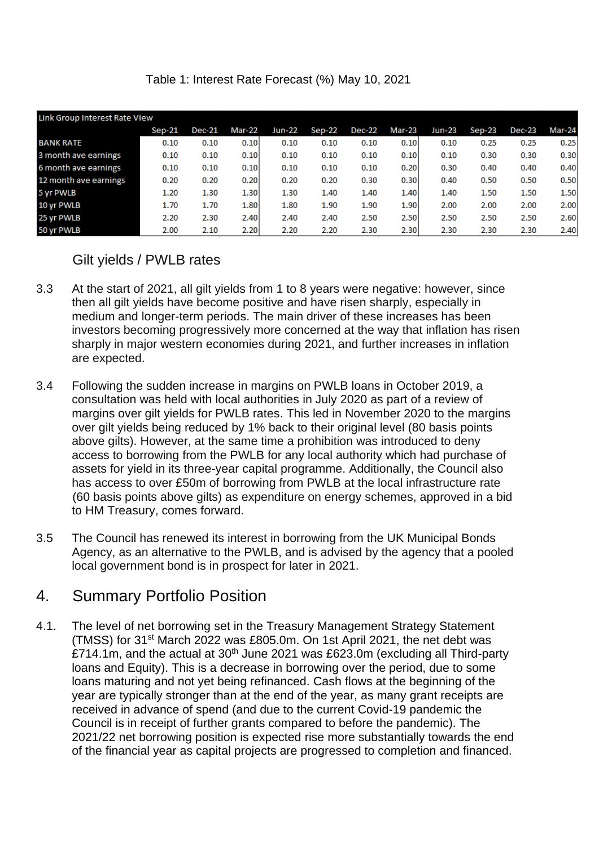#### Table 1: Interest Rate Forecast (%) May 10, 2021

| Link Group Interest Rate View |          |               |        |               |          |               |        |               |          |               |        |
|-------------------------------|----------|---------------|--------|---------------|----------|---------------|--------|---------------|----------|---------------|--------|
|                               | $Sep-21$ | <b>Dec-21</b> | Mar-22 | <b>Jun-22</b> | $Sep-22$ | <b>Dec-22</b> | Mar-23 | <b>Jun-23</b> | $Sep-23$ | <b>Dec-23</b> | Mar-24 |
| <b>BANK RATE</b>              | 0.10     | 0.10          | 0.10   | 0.10          | 0.10     | 0.10          | 0.10   | 0.10          | 0.25     | 0.25          | 0.25   |
| 3 month ave earnings          | 0.10     | 0.10          | 0.10   | 0.10          | 0.10     | 0.10          | 0.10   | 0.10          | 0.30     | 0.30          | 0.30   |
| 6 month ave earnings          | 0.10     | 0.10          | 0.10   | 0.10          | 0.10     | 0.10          | 0.20   | 0.30          | 0.40     | 0.40          | 0.40   |
| 12 month ave earnings         | 0.20     | 0.20          | 0.20   | 0.20          | 0.20     | 0.30          | 0.30   | 0.40          | 0.50     | 0.50          | 0.50   |
| 5 yr PWLB                     | 1.20     | 1.30          | 1.30   | 1.30          | 1.40     | 1.40          | 1.40   | 1.40          | 1.50     | 1.50          | 1.50   |
| 10 yr PWLB                    | 1.70     | 1.70          | 1.80   | 1.80          | 1.90     | 1.90          | 1.90   | 2.00          | 2.00     | 2.00          | 2.00   |
| 25 yr PWLB                    | 2.20     | 2.30          | 2.40   | 2.40          | 2.40     | 2.50          | 2.50   | 2.50          | 2.50     | 2.50          | 2.60   |
| 50 yr PWLB                    | 2.00     | 2.10          | 2.20   | 2.20          | 2.20     | 2.30          | 2.30   | 2.30          | 2.30     | 2.30          | 2.40   |

#### Gilt yields / PWLB rates

- 3.3 At the start of 2021, all gilt yields from 1 to 8 years were negative: however, since then all gilt yields have become positive and have risen sharply, especially in medium and longer-term periods. The main driver of these increases has been investors becoming progressively more concerned at the way that inflation has risen sharply in major western economies during 2021, and further increases in inflation are expected.
- 3.4 Following the sudden increase in margins on PWLB loans in October 2019, a consultation was held with local authorities in July 2020 as part of a review of margins over gilt yields for PWLB rates. This led in November 2020 to the margins over gilt yields being reduced by 1% back to their original level (80 basis points above gilts). However, at the same time a prohibition was introduced to deny access to borrowing from the PWLB for any local authority which had purchase of assets for yield in its three-year capital programme. Additionally, the Council also has access to over £50m of borrowing from PWLB at the local infrastructure rate (60 basis points above gilts) as expenditure on energy schemes, approved in a bid to HM Treasury, comes forward.
- 3.5 The Council has renewed its interest in borrowing from the UK Municipal Bonds Agency, as an alternative to the PWLB, and is advised by the agency that a pooled local government bond is in prospect for later in 2021.

## 4. Summary Portfolio Position

4.1. The level of net borrowing set in the Treasury Management Strategy Statement (TMSS) for 31st March 2022 was £805.0m. On 1st April 2021, the net debt was £714.1m, and the actual at  $30<sup>th</sup>$  June 2021 was £623.0m (excluding all Third-party loans and Equity). This is a decrease in borrowing over the period, due to some loans maturing and not yet being refinanced. Cash flows at the beginning of the year are typically stronger than at the end of the year, as many grant receipts are received in advance of spend (and due to the current Covid-19 pandemic the Council is in receipt of further grants compared to before the pandemic). The 2021/22 net borrowing position is expected rise more substantially towards the end of the financial year as capital projects are progressed to completion and financed.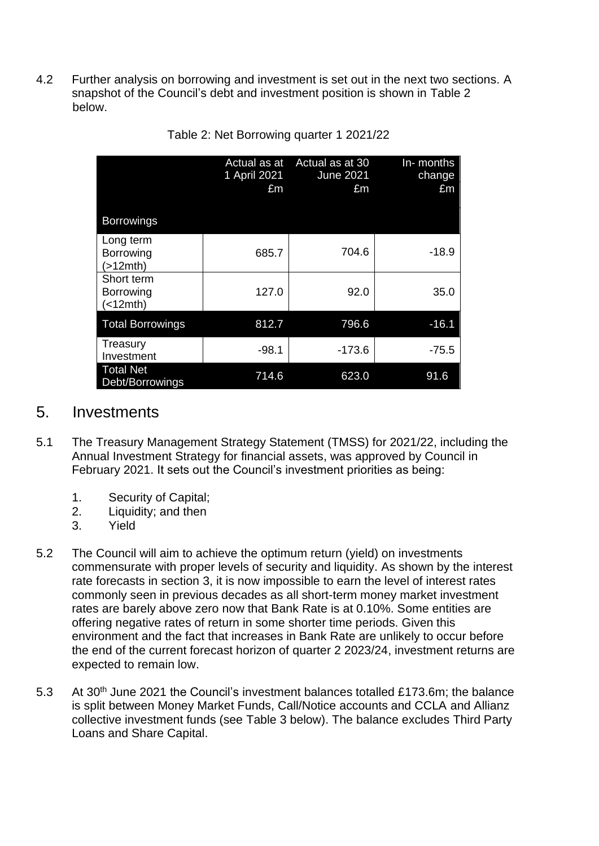4.2 Further analysis on borrowing and investment is set out in the next two sections. A snapshot of the Council's debt and investment position is shown in Table 2 below.

|                                            | Actual as at<br>1 April 2021<br>£m | Actual as at 30<br><b>June 2021</b><br>£m | In- months<br>change<br>£m |
|--------------------------------------------|------------------------------------|-------------------------------------------|----------------------------|
| <b>Borrowings</b>                          |                                    |                                           |                            |
| Long term<br>Borrowing<br>$($ >12 $mth)$   | 685.7                              | 704.6                                     | -18.9                      |
| Short term<br><b>Borrowing</b><br>(<12mth) | 127.0                              | 92.0                                      | 35.0                       |
| <b>Total Borrowings</b>                    | 812.7                              | 796.6                                     | $-16.1$                    |
| Treasury<br>Investment                     | -98.1                              | $-173.6$                                  | $-75.5$                    |
| <b>Total Net</b><br>Debt/Borrowings        | 714.6                              | 623.0                                     | 91.6                       |

Table 2: Net Borrowing quarter 1 2021/22

#### 5. Investments

- 5.1 The Treasury Management Strategy Statement (TMSS) for 2021/22, including the Annual Investment Strategy for financial assets, was approved by Council in February 2021. It sets out the Council's investment priorities as being:
	- 1. Security of Capital;
	- 2. Liquidity; and then
	- 3. Yield
- 5.2 The Council will aim to achieve the optimum return (yield) on investments commensurate with proper levels of security and liquidity. As shown by the interest rate forecasts in section 3, it is now impossible to earn the level of interest rates commonly seen in previous decades as all short-term money market investment rates are barely above zero now that Bank Rate is at 0.10%. Some entities are offering negative rates of return in some shorter time periods. Given this environment and the fact that increases in Bank Rate are unlikely to occur before the end of the current forecast horizon of quarter 2 2023/24, investment returns are expected to remain low.
- 5.3 At 30<sup>th</sup> June 2021 the Council's investment balances totalled £173.6m; the balance is split between Money Market Funds, Call/Notice accounts and CCLA and Allianz collective investment funds (see Table 3 below). The balance excludes Third Party Loans and Share Capital.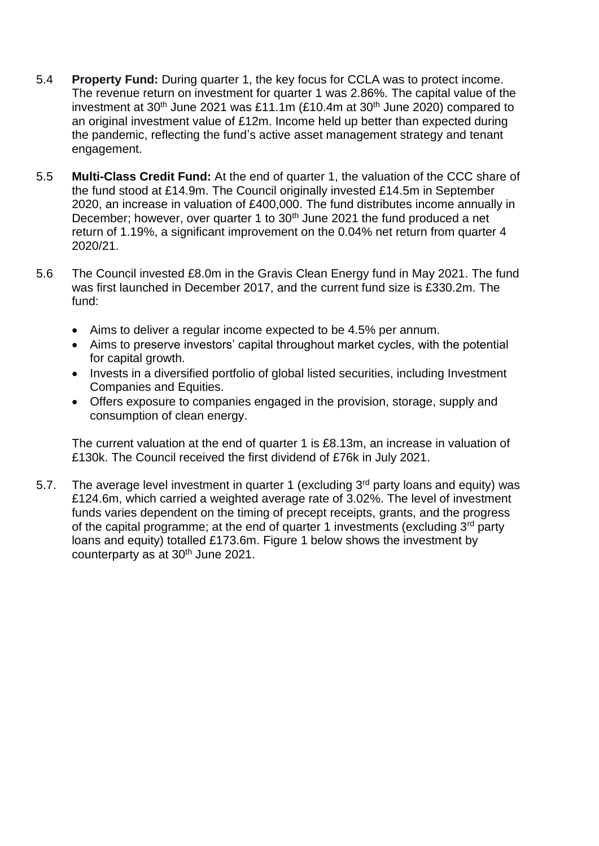- 5.4 **Property Fund:** During quarter 1, the key focus for CCLA was to protect income. The revenue return on investment for quarter 1 was 2.86%. The capital value of the investment at 30<sup>th</sup> June 2021 was £11.1m (£10.4m at 30<sup>th</sup> June 2020) compared to an original investment value of £12m. Income held up better than expected during the pandemic, reflecting the fund's active asset management strategy and tenant engagement.
- 5.5 **Multi-Class Credit Fund:** At the end of quarter 1, the valuation of the CCC share of the fund stood at £14.9m. The Council originally invested £14.5m in September 2020, an increase in valuation of £400,000. The fund distributes income annually in December; however, over quarter 1 to 30<sup>th</sup> June 2021 the fund produced a net return of 1.19%, a significant improvement on the 0.04% net return from quarter 4 2020/21.
- 5.6 The Council invested £8.0m in the Gravis Clean Energy fund in May 2021. The fund was first launched in December 2017, and the current fund size is £330.2m. The fund:
	- Aims to deliver a regular income expected to be 4.5% per annum.
	- Aims to preserve investors' capital throughout market cycles, with the potential for capital growth.
	- Invests in a diversified portfolio of global listed securities, including Investment Companies and Equities.
	- Offers exposure to companies engaged in the provision, storage, supply and consumption of clean energy.

The current valuation at the end of quarter 1 is £8.13m, an increase in valuation of £130k. The Council received the first dividend of £76k in July 2021.

5.7. The average level investment in quarter 1 (excluding  $3<sup>rd</sup>$  party loans and equity) was £124.6m, which carried a weighted average rate of 3.02%. The level of investment funds varies dependent on the timing of precept receipts, grants, and the progress of the capital programme; at the end of quarter 1 investments (excluding  $3<sup>rd</sup>$  party loans and equity) totalled £173.6m. Figure 1 below shows the investment by counterparty as at 30<sup>th</sup> June 2021.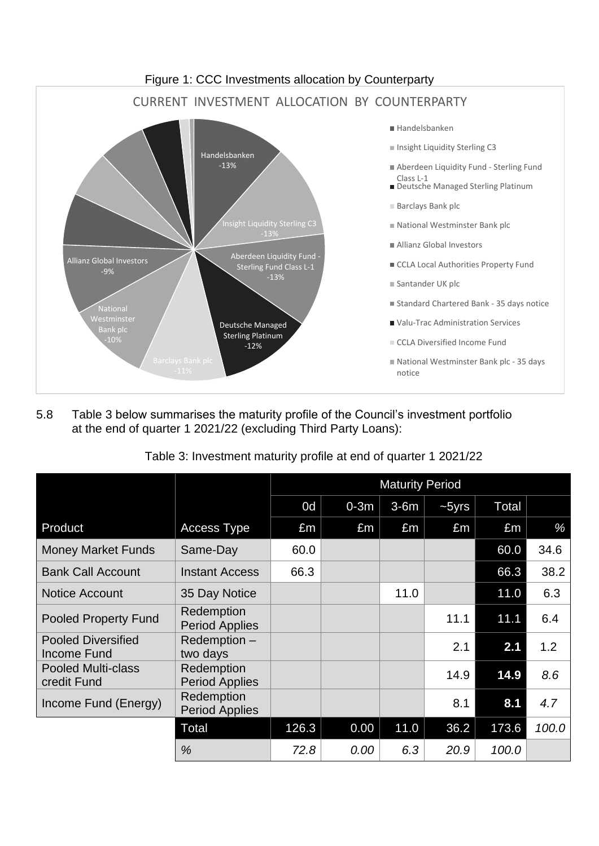

5.8 Table 3 below summarises the maturity profile of the Council's investment portfolio at the end of quarter 1 2021/22 (excluding Third Party Loans):

| Table 3: Investment maturity profile at end of quarter 1 2021/22 |
|------------------------------------------------------------------|
|------------------------------------------------------------------|

|                                          |                                     | <b>Maturity Period</b> |        |        |         |       |       |
|------------------------------------------|-------------------------------------|------------------------|--------|--------|---------|-------|-------|
|                                          |                                     | 0d                     | $0-3m$ | $3-6m$ | $-5yrs$ | Total |       |
| Product                                  | <b>Access Type</b>                  | £m                     | £m     | £m     | £m      | £m    | %     |
| <b>Money Market Funds</b>                | Same-Day                            | 60.0                   |        |        |         | 60.0  | 34.6  |
| <b>Bank Call Account</b>                 | <b>Instant Access</b>               | 66.3                   |        |        |         | 66.3  | 38.2  |
| Notice Account                           | 35 Day Notice                       |                        |        | 11.0   |         | 11.0  | 6.3   |
| <b>Pooled Property Fund</b>              | Redemption<br><b>Period Applies</b> |                        |        |        | 11.1    | 11.1  | 6.4   |
| <b>Pooled Diversified</b><br>Income Fund | Redemption -<br>two days            |                        |        |        | 2.1     | 2.1   | 1.2   |
| <b>Pooled Multi-class</b><br>credit Fund | Redemption<br><b>Period Applies</b> |                        |        |        | 14.9    | 14.9  | 8.6   |
| Income Fund (Energy)                     | Redemption<br><b>Period Applies</b> |                        |        |        | 8.1     | 8.1   | 4.7   |
|                                          | Total                               | 126.3                  | 0.00   | 11.0   | 36.2    | 173.6 | 100.0 |
|                                          | %                                   | 72.8                   | 0.00   | 6.3    | 20.9    | 100.0 |       |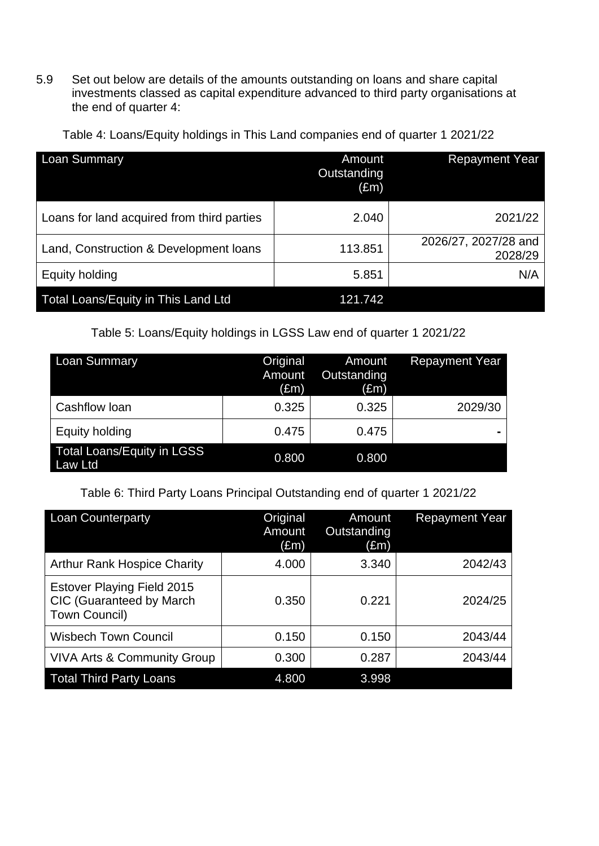5.9 Set out below are details of the amounts outstanding on loans and share capital investments classed as capital expenditure advanced to third party organisations at the end of quarter 4:

Loan Summary **Amount** 2008 2012 12:30 Amount **Outstanding** (£m) Repayment Year Loans for land acquired from third parties | 2.040 | 2021/22 Land, Construction & Development loans 113.851 2026/27, 2027/28 and 2028/29 Equity holding N/A Total Loans/Equity in This Land Ltd 121.742

Table 4: Loans/Equity holdings in This Land companies end of quarter 1 2021/22

Table 5: Loans/Equity holdings in LGSS Law end of quarter 1 2021/22

| Loan Summary                                 | Original<br>Amount<br>$(\text{Em})$ | Amount<br>Outstanding<br>$(\text{Em})$ | <b>Repayment Year</b> |
|----------------------------------------------|-------------------------------------|----------------------------------------|-----------------------|
| Cashflow loan                                | 0.325                               | 0.325                                  | 2029/30               |
| Equity holding                               | 0.475                               | 0.475                                  |                       |
| <b>Total Loans/Equity in LGSS</b><br>Law Ltd | 0.800                               | 0.800                                  |                       |

Table 6: Third Party Loans Principal Outstanding end of quarter 1 2021/22

| <b>Loan Counterparty</b>                                                       | Original<br>Amount<br>$(\text{Em})$ | Amount<br>Outstanding<br>$(\text{Em})$ | <b>Repayment Year</b> |
|--------------------------------------------------------------------------------|-------------------------------------|----------------------------------------|-----------------------|
| <b>Arthur Rank Hospice Charity</b>                                             | 4.000                               | 3.340                                  | 2042/43               |
| <b>Estover Playing Field 2015</b><br>CIC (Guaranteed by March<br>Town Council) | 0.350                               | 0.221                                  | 2024/25               |
| <b>Wisbech Town Council</b>                                                    | 0.150                               | 0.150                                  | 2043/44               |
| <b>VIVA Arts &amp; Community Group</b>                                         | 0.300                               | 0.287                                  | 2043/44               |
| <b>Total Third Party Loans</b>                                                 | 4.800                               | 3.998                                  |                       |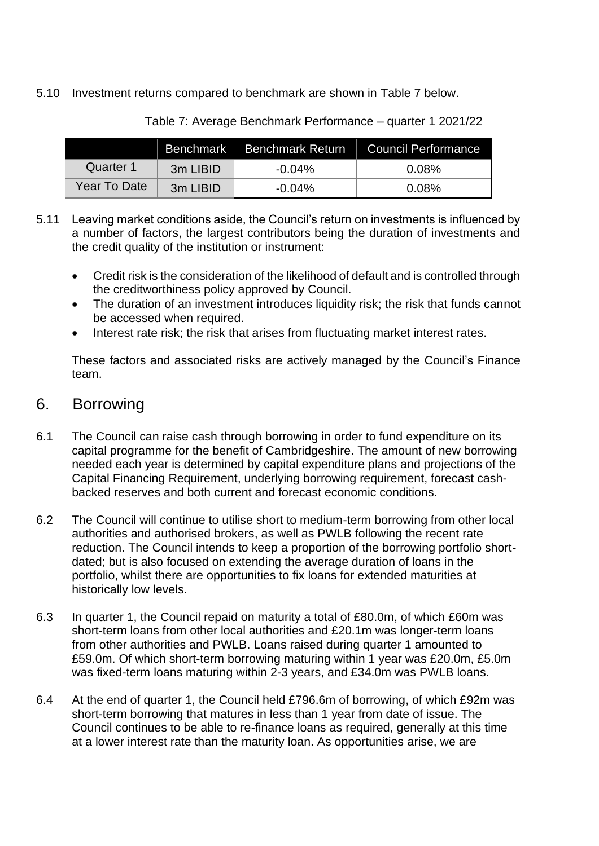5.10 Investment returns compared to benchmark are shown in Table 7 below.

|              |             | Benchmark   Benchmark Return | <b>Council Performance</b> |
|--------------|-------------|------------------------------|----------------------------|
| Quarter 1    | $3m$ I IBID | $-0.04\%$                    | $0.08\%$                   |
| Year To Date | $3m$   IBID | $-0.04\%$                    | 0.08%                      |

Table 7: Average Benchmark Performance – quarter 1 2021/22

- 5.11 Leaving market conditions aside, the Council's return on investments is influenced by a number of factors, the largest contributors being the duration of investments and the credit quality of the institution or instrument:
	- Credit risk is the consideration of the likelihood of default and is controlled through the creditworthiness policy approved by Council.
	- The duration of an investment introduces liquidity risk; the risk that funds cannot be accessed when required.
	- Interest rate risk; the risk that arises from fluctuating market interest rates.

These factors and associated risks are actively managed by the Council's Finance team.

#### 6. Borrowing

- 6.1 The Council can raise cash through borrowing in order to fund expenditure on its capital programme for the benefit of Cambridgeshire. The amount of new borrowing needed each year is determined by capital expenditure plans and projections of the Capital Financing Requirement, underlying borrowing requirement, forecast cashbacked reserves and both current and forecast economic conditions.
- 6.2 The Council will continue to utilise short to medium-term borrowing from other local authorities and authorised brokers, as well as PWLB following the recent rate reduction. The Council intends to keep a proportion of the borrowing portfolio shortdated; but is also focused on extending the average duration of loans in the portfolio, whilst there are opportunities to fix loans for extended maturities at historically low levels.
- 6.3 In quarter 1, the Council repaid on maturity a total of £80.0m, of which £60m was short-term loans from other local authorities and £20.1m was longer-term loans from other authorities and PWLB. Loans raised during quarter 1 amounted to £59.0m. Of which short-term borrowing maturing within 1 year was £20.0m, £5.0m was fixed-term loans maturing within 2-3 years, and £34.0m was PWLB loans.
- 6.4 At the end of quarter 1, the Council held £796.6m of borrowing, of which £92m was short-term borrowing that matures in less than 1 year from date of issue. The Council continues to be able to re-finance loans as required, generally at this time at a lower interest rate than the maturity loan. As opportunities arise, we are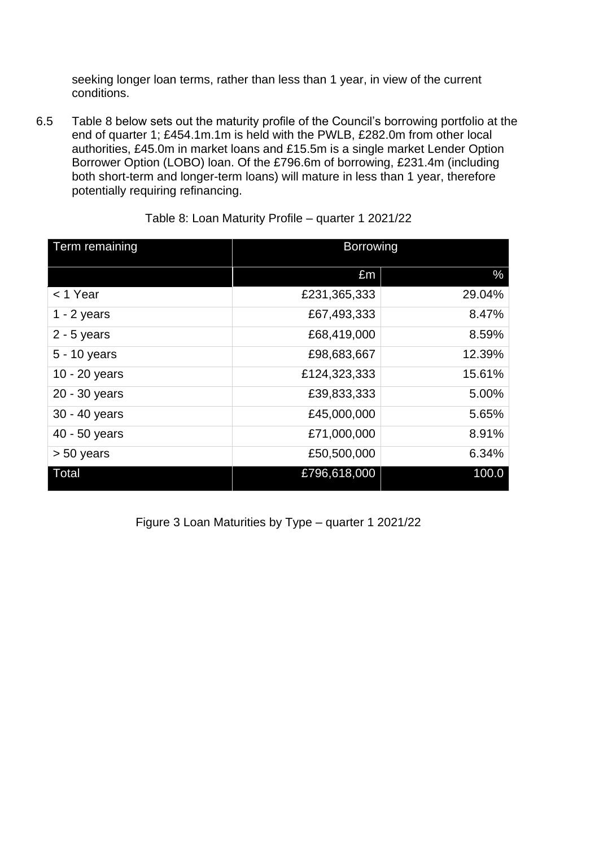seeking longer loan terms, rather than less than 1 year, in view of the current conditions.

6.5 Table 8 below sets out the maturity profile of the Council's borrowing portfolio at the end of quarter 1; £454.1m.1m is held with the PWLB, £282.0m from other local authorities, £45.0m in market loans and £15.5m is a single market Lender Option Borrower Option (LOBO) loan. Of the £796.6m of borrowing, £231.4m (including both short-term and longer-term loans) will mature in less than 1 year, therefore potentially requiring refinancing.

| Term remaining | <b>Borrowing</b> |        |  |  |
|----------------|------------------|--------|--|--|
|                | £m               | %      |  |  |
| < 1 Year       | £231,365,333     | 29.04% |  |  |
| $1 - 2$ years  | £67,493,333      | 8.47%  |  |  |
| $2 - 5$ years  | £68,419,000      | 8.59%  |  |  |
| 5 - 10 years   | £98,683,667      | 12.39% |  |  |
| 10 - 20 years  | £124,323,333     | 15.61% |  |  |
| 20 - 30 years  | £39,833,333      | 5.00%  |  |  |
| 30 - 40 years  | £45,000,000      | 5.65%  |  |  |
| 40 - 50 years  | £71,000,000      | 8.91%  |  |  |
| $> 50$ years   | £50,500,000      | 6.34%  |  |  |
| <b>Total</b>   | £796,618,000     | 100.0  |  |  |

Table 8: Loan Maturity Profile – quarter 1 2021/22

Figure 3 Loan Maturities by Type – quarter 1 2021/22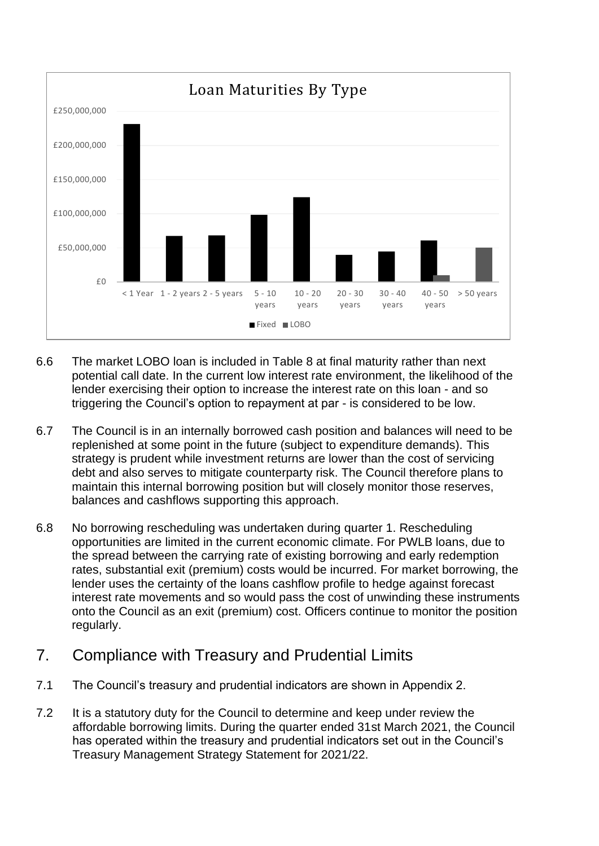

- 6.6 The market LOBO loan is included in Table 8 at final maturity rather than next potential call date. In the current low interest rate environment, the likelihood of the lender exercising their option to increase the interest rate on this loan - and so triggering the Council's option to repayment at par - is considered to be low.
- 6.7 The Council is in an internally borrowed cash position and balances will need to be replenished at some point in the future (subject to expenditure demands). This strategy is prudent while investment returns are lower than the cost of servicing debt and also serves to mitigate counterparty risk. The Council therefore plans to maintain this internal borrowing position but will closely monitor those reserves, balances and cashflows supporting this approach.
- 6.8 No borrowing rescheduling was undertaken during quarter 1. Rescheduling opportunities are limited in the current economic climate. For PWLB loans, due to the spread between the carrying rate of existing borrowing and early redemption rates, substantial exit (premium) costs would be incurred. For market borrowing, the lender uses the certainty of the loans cashflow profile to hedge against forecast interest rate movements and so would pass the cost of unwinding these instruments onto the Council as an exit (premium) cost. Officers continue to monitor the position regularly.

## 7. Compliance with Treasury and Prudential Limits

- 7.1 The Council's treasury and prudential indicators are shown in Appendix 2.
- 7.2 It is a statutory duty for the Council to determine and keep under review the affordable borrowing limits. During the quarter ended 31st March 2021, the Council has operated within the treasury and prudential indicators set out in the Council's Treasury Management Strategy Statement for 2021/22.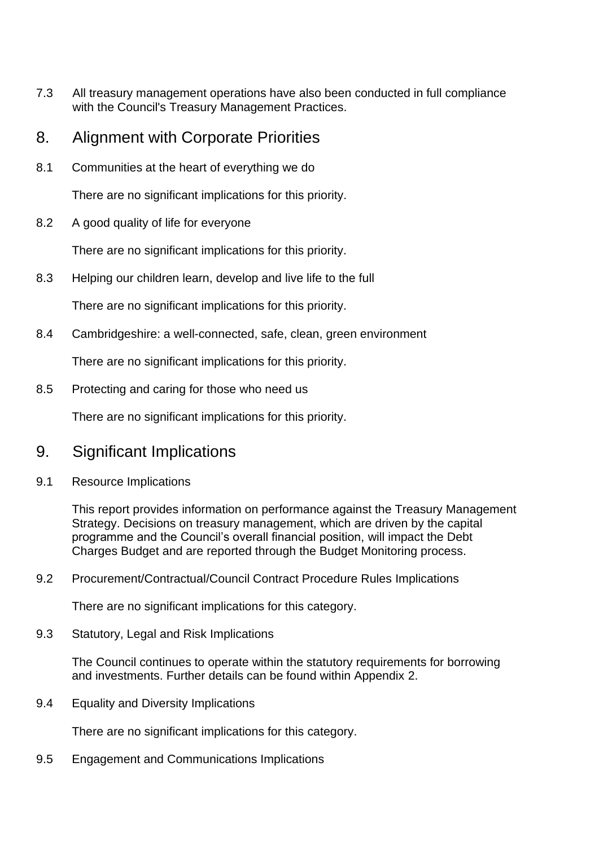7.3 All treasury management operations have also been conducted in full compliance with the Council's Treasury Management Practices.

### 8. Alignment with Corporate Priorities

8.1 Communities at the heart of everything we do

There are no significant implications for this priority.

8.2 A good quality of life for everyone

There are no significant implications for this priority.

8.3 Helping our children learn, develop and live life to the full

There are no significant implications for this priority.

8.4 Cambridgeshire: a well-connected, safe, clean, green environment

There are no significant implications for this priority.

8.5 Protecting and caring for those who need us

There are no significant implications for this priority.

#### 9. Significant Implications

9.1 Resource Implications

This report provides information on performance against the Treasury Management Strategy. Decisions on treasury management, which are driven by the capital programme and the Council's overall financial position, will impact the Debt Charges Budget and are reported through the Budget Monitoring process.

9.2 Procurement/Contractual/Council Contract Procedure Rules Implications

There are no significant implications for this category.

9.3 Statutory, Legal and Risk Implications

The Council continues to operate within the statutory requirements for borrowing and investments. Further details can be found within Appendix 2.

9.4 Equality and Diversity Implications

There are no significant implications for this category.

9.5 Engagement and Communications Implications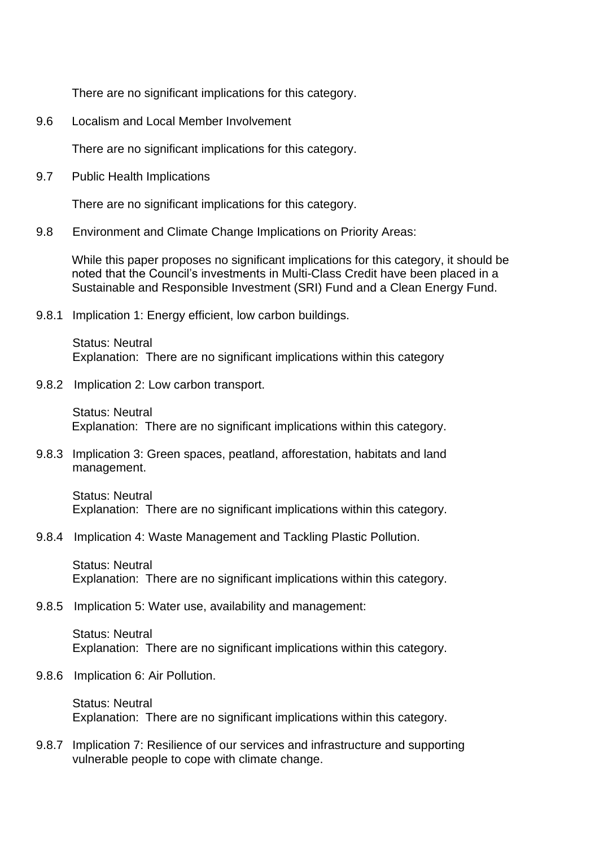There are no significant implications for this category.

9.6 Localism and Local Member Involvement

There are no significant implications for this category.

9.7 Public Health Implications

There are no significant implications for this category.

9.8 Environment and Climate Change Implications on Priority Areas:

While this paper proposes no significant implications for this category, it should be noted that the Council's investments in Multi-Class Credit have been placed in a Sustainable and Responsible Investment (SRI) Fund and a Clean Energy Fund.

9.8.1 Implication 1: Energy efficient, low carbon buildings.

Status: Neutral Explanation: There are no significant implications within this category

9.8.2 Implication 2: Low carbon transport.

Status: Neutral Explanation: There are no significant implications within this category.

9.8.3 Implication 3: Green spaces, peatland, afforestation, habitats and land management.

Status: Neutral Explanation: There are no significant implications within this category.

9.8.4 Implication 4: Waste Management and Tackling Plastic Pollution.

Status: Neutral Explanation: There are no significant implications within this category.

9.8.5 Implication 5: Water use, availability and management:

Status: Neutral Explanation: There are no significant implications within this category.

9.8.6 Implication 6: Air Pollution.

Status: Neutral Explanation: There are no significant implications within this category.

9.8.7 Implication 7: Resilience of our services and infrastructure and supporting vulnerable people to cope with climate change.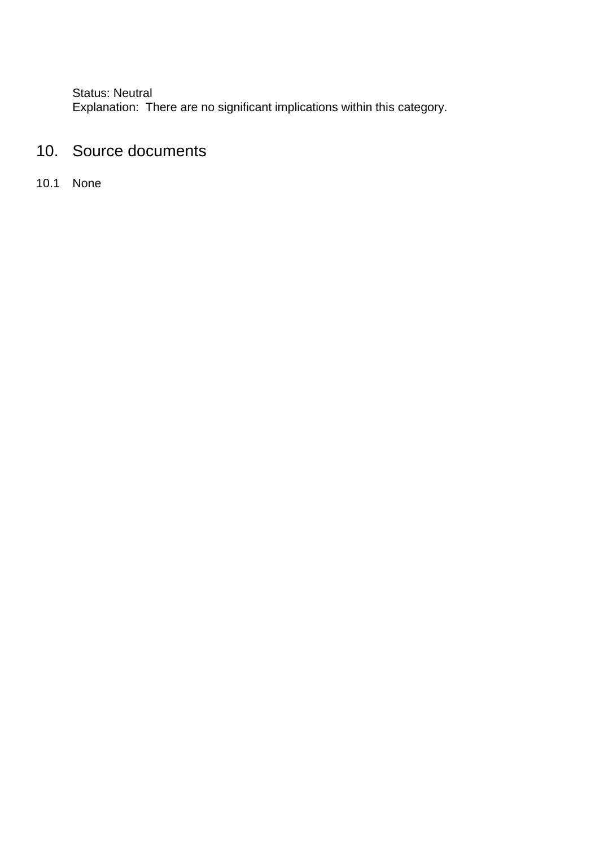Status: Neutral Explanation: There are no significant implications within this category.

## 10. Source documents

10.1 None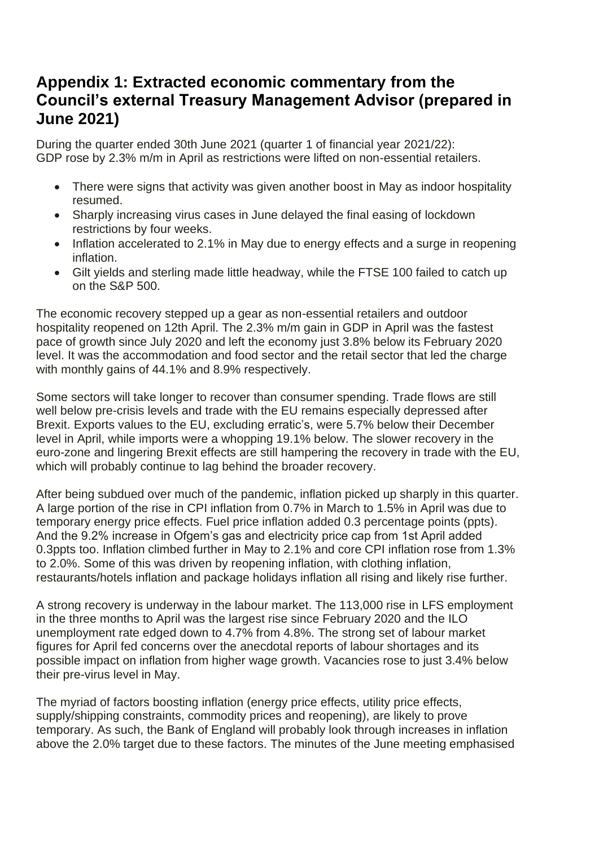## **Appendix 1: Extracted economic commentary from the Council's external Treasury Management Advisor (prepared in June 2021)**

During the quarter ended 30th June 2021 (quarter 1 of financial year 2021/22): GDP rose by 2.3% m/m in April as restrictions were lifted on non-essential retailers.

- There were signs that activity was given another boost in May as indoor hospitality resumed.
- Sharply increasing virus cases in June delayed the final easing of lockdown restrictions by four weeks.
- Inflation accelerated to 2.1% in May due to energy effects and a surge in reopening inflation.
- Gilt yields and sterling made little headway, while the FTSE 100 failed to catch up on the S&P 500.

The economic recovery stepped up a gear as non-essential retailers and outdoor hospitality reopened on 12th April. The 2.3% m/m gain in GDP in April was the fastest pace of growth since July 2020 and left the economy just 3.8% below its February 2020 level. It was the accommodation and food sector and the retail sector that led the charge with monthly gains of 44.1% and 8.9% respectively.

Some sectors will take longer to recover than consumer spending. Trade flows are still well below pre-crisis levels and trade with the EU remains especially depressed after Brexit. Exports values to the EU, excluding erratic's, were 5.7% below their December level in April, while imports were a whopping 19.1% below. The slower recovery in the euro-zone and lingering Brexit effects are still hampering the recovery in trade with the EU, which will probably continue to lag behind the broader recovery.

After being subdued over much of the pandemic, inflation picked up sharply in this quarter. A large portion of the rise in CPI inflation from 0.7% in March to 1.5% in April was due to temporary energy price effects. Fuel price inflation added 0.3 percentage points (ppts). And the 9.2% increase in Ofgem's gas and electricity price cap from 1st April added 0.3ppts too. Inflation climbed further in May to 2.1% and core CPI inflation rose from 1.3% to 2.0%. Some of this was driven by reopening inflation, with clothing inflation, restaurants/hotels inflation and package holidays inflation all rising and likely rise further.

A strong recovery is underway in the labour market. The 113,000 rise in LFS employment in the three months to April was the largest rise since February 2020 and the ILO unemployment rate edged down to 4.7% from 4.8%. The strong set of labour market figures for April fed concerns over the anecdotal reports of labour shortages and its possible impact on inflation from higher wage growth. Vacancies rose to just 3.4% below their pre-virus level in May.

The myriad of factors boosting inflation (energy price effects, utility price effects, supply/shipping constraints, commodity prices and reopening), are likely to prove temporary. As such, the Bank of England will probably look through increases in inflation above the 2.0% target due to these factors. The minutes of the June meeting emphasised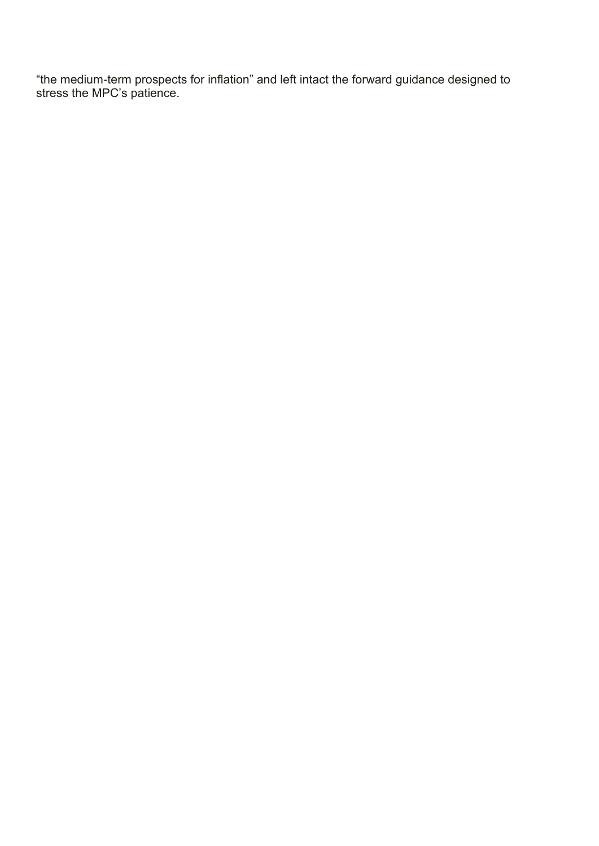"the medium-term prospects for inflation" and left intact the forward guidance designed to stress the MPC's patience.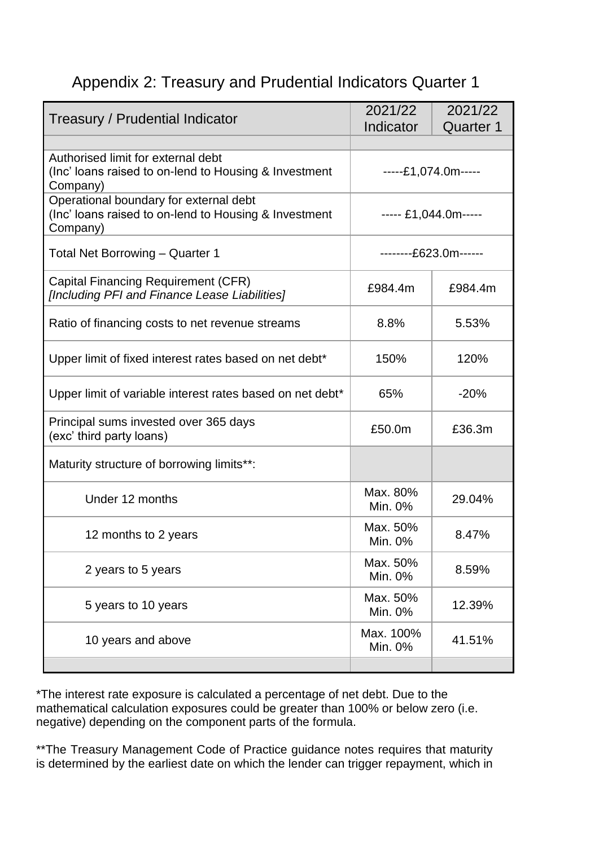## Appendix 2: Treasury and Prudential Indicators Quarter 1

|                                                                                                             | 2021/22                | 2021/22          |  |
|-------------------------------------------------------------------------------------------------------------|------------------------|------------------|--|
| Treasury / Prudential Indicator                                                                             | Indicator              | <b>Quarter 1</b> |  |
|                                                                                                             |                        |                  |  |
| Authorised limit for external debt<br>(Inc' loans raised to on-lend to Housing & Investment<br>Company)     | $---£1,074.0m---$      |                  |  |
| Operational boundary for external debt<br>(Inc' loans raised to on-lend to Housing & Investment<br>Company) | $--- £1,044.0$ m $---$ |                  |  |
| Total Net Borrowing - Quarter 1                                                                             | --------£623.0m------  |                  |  |
| Capital Financing Requirement (CFR)<br>[Including PFI and Finance Lease Liabilities]                        | £984.4m                | £984.4m          |  |
| Ratio of financing costs to net revenue streams                                                             | 8.8%                   | 5.53%            |  |
| Upper limit of fixed interest rates based on net debt*                                                      | 150%                   | 120%             |  |
| Upper limit of variable interest rates based on net debt*                                                   | 65%                    | $-20%$           |  |
| Principal sums invested over 365 days<br>(exc' third party loans)                                           | £50.0m                 | £36.3m           |  |
| Maturity structure of borrowing limits**:                                                                   |                        |                  |  |
| Under 12 months                                                                                             | Max. 80%<br>Min. 0%    | 29.04%           |  |
| 12 months to 2 years                                                                                        | Max. 50%<br>Min. 0%    | 8.47%            |  |
| 2 years to 5 years                                                                                          | Max. 50%<br>Min. 0%    | 8.59%            |  |
| 5 years to 10 years                                                                                         | Max. 50%<br>Min. 0%    | 12.39%           |  |
| 10 years and above                                                                                          | Max. 100%<br>Min. 0%   | 41.51%           |  |
|                                                                                                             |                        |                  |  |

\*The interest rate exposure is calculated a percentage of net debt. Due to the mathematical calculation exposures could be greater than 100% or below zero (i.e. negative) depending on the component parts of the formula.

\*\*The Treasury Management Code of Practice guidance notes requires that maturity is determined by the earliest date on which the lender can trigger repayment, which in